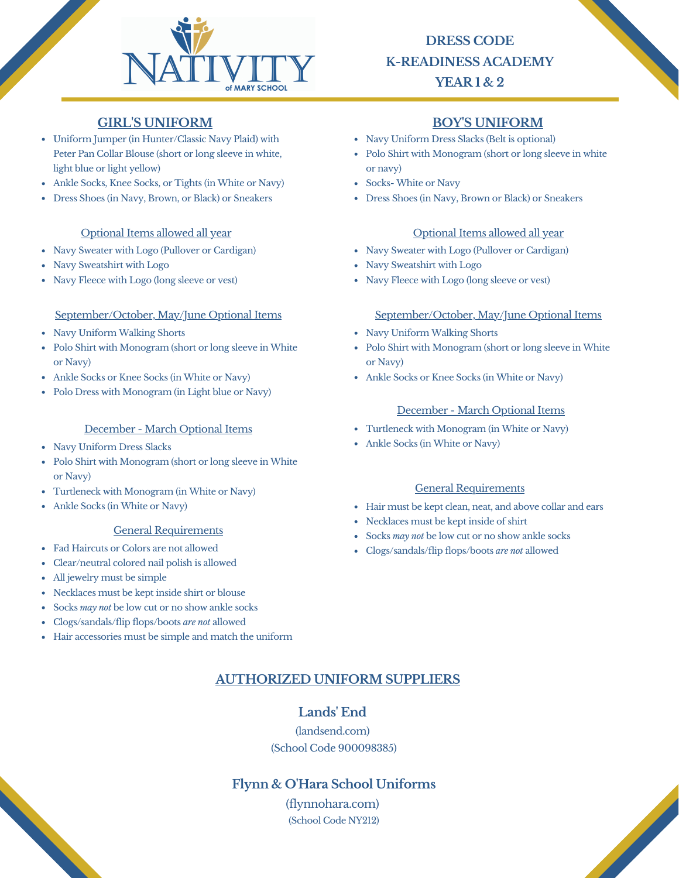

# **DRESS CODE K-READINESS ACADEMY YEAR 1 & 2**

## **GIRL'S UNIFORM BOY'S UNIFORM**

- Uniform Jumper (in Hunter/Classic Navy Plaid) with Peter Pan Collar Blouse (short or long sleeve in white, light blue or light yellow)
- Ankle Socks, Knee Socks, or Tights (in White or Navy)
- Dress Shoes (in Navy, Brown, or Black) or Sneakers

### Optional Items allowed all year

- Navy Sweater with Logo (Pullover or Cardigan)
- Navy Sweatshirt with Logo
- Navy Fleece with Logo (long sleeve or vest)

### September/October, May/June Optional Items September/October, May/June Optional Items

- Navy Uniform Walking Shorts
- Polo Shirt with Monogram (short or long sleeve in White or Navy)
- Ankle Socks or Knee Socks (in White or Navy)
- Polo Dress with Monogram (in Light blue or Navy)

#### December - March Optional Items

- Navy Uniform Dress Slacks
- Polo Shirt with Monogram (short or long sleeve in White or Navy)
- Turtleneck with Monogram (in White or Navy)
- Ankle Socks (in White or Navy)

#### General Requirements

- Fad Haircuts or Colors are not allowed
- Clear/neutral colored nail polish is allowed
- All jewelry must be simple
- Necklaces must be kept inside shirt or blouse
- Socks *may not* be low cut or no show ankle socks
- Clogs/sandals/flip flops/boots *are not* allowed
- Hair accessories must be simple and match the uniform

- Navy Uniform Dress Slacks (Belt is optional)
- Polo Shirt with Monogram (short or long sleeve in white or navy)
- Socks- White or Navy
- Dress Shoes (in Navy, Brown or Black) or Sneakers

### Optional Items allowed all year

- Navy Sweater with Logo (Pullover or Cardigan)
- Navy Sweatshirt with Logo
- Navy Fleece with Logo (long sleeve or vest)

- Navy Uniform Walking Shorts
- Polo Shirt with Monogram (short or long sleeve in White or Navy)
- Ankle Socks or Knee Socks (in White or Navy)

### December - March Optional Items

- Turtleneck with Monogram (in White or Navy)
- Ankle Socks (in White or Navy)

### General Requirements

Hair must be kept clean, neat, and above collar and ears

**Contract Contract Contract Contract Contract Contract Contract Contract Contract Contract Contract Contract Contract Contract Contract Contract Contract Contract Contract Contract Contract Contract Contract Contract Contr** 

- Necklaces must be kept inside of shirt
- Socks *may not* be low cut or no show ankle socks
- Clogs/sandals/flip flops/boots *are not* allowed

## **AUTHORIZED UNIFORM SUPPLIERS**

## **Lands' End**

(landsend.com) (School Code 900098385)

## **Flynn & O'Hara School Uniforms**

(flynnohara.com) (School Code NY212)